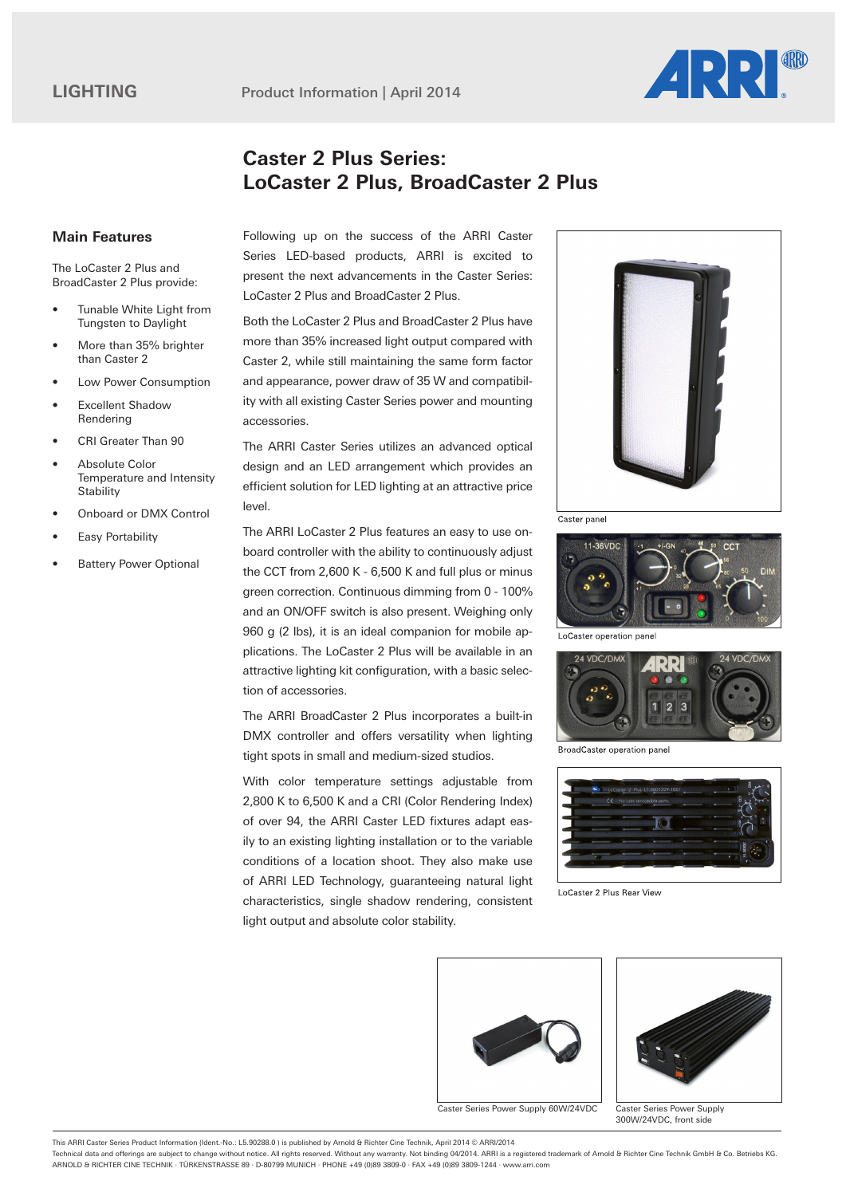

## **Caster 2 Plus Series: LoCaster 2 Plus, BroadCaster 2 Plus**

## **Main Features**

The LoCaster 2 Plus and BroadCaster 2 Plus provide:

- Tunable White Light from Tungsten to Daylight
- More than 35% brighter than Caster 2
- Low Power Consumption
- **Excellent Shadow** Rendering
- CRI Greater Than 90
- Absolute Color Temperature and Intensity **Stability**
- Onboard or DMX Control
- Easy Portability
- **Battery Power Optional**

Following up on the success of the ARRI Caster Series LED-based products, ARRI is excited to present the next advancements in the Caster Series: LoCaster 2 Plus and BroadCaster 2 Plus.

Both the LoCaster 2 Plus and BroadCaster 2 Plus have more than 35% increased light output compared with Caster 2, while still maintaining the same form factor and appearance, power draw of 35 W and compatibility with all existing Caster Series power and mounting accessories.

The ARRI Caster Series utilizes an advanced optical design and an LED arrangement which provides an efficient solution for LED lighting at an attractive price level.

The ARRI LoCaster 2 Plus features an easy to use onboard controller with the ability to continuously adjust the CCT from 2,600 K - 6,500 K and full plus or minus green correction. Continuous dimming from 0 - 100% and an ON/OFF switch is also present. Weighing only 960 g (2 lbs), it is an ideal companion for mobile applications. The LoCaster 2 Plus will be available in an attractive lighting kit configuration, with a basic selection of accessories.

The ARRI BroadCaster 2 Plus incorporates a built-in DMX controller and offers versatility when lighting tight spots in small and medium-sized studios.

With color temperature settings adjustable from 2,800 K to 6,500 K and a CRI (Color Rendering Index) of over 94, the ARRI Caster LED fixtures adapt easily to an existing lighting installation or to the variable conditions of a location shoot. They also make use of ARRI LED Technology, guaranteeing natural light characteristics, single shadow rendering, consistent light output and absolute color stability.



Caster panel



LoCaster operation panel



BroadCaster operation panel



LoCaster 2 Plus Rear View



Caster Series Power Supply 60W/24VDC



Caster Series Power Supply 300W/24VDC, front side

This ARRI Caster Series Product Information (Ident.-No.: L5.90288.0 ) is published by Arnold & Richter Cine Technik, April 2014 © ARRI/2014

Technical data and offerings are subject to change without notice. All rights reserved. Without any warranty. Not binding 04/2014. ARRI is a registered trademark of Arnold & Richter Cine Technik GmbH & Co. Betriebs KG. ARNOLD & RICHTER CINE TECHNIK · TÜRKENSTRASSE 89 · D-80799 MUNICH · PHONE +49 (0)89 3809-0 · FAX +49 (0)89 3809-1244 · www.arri.com